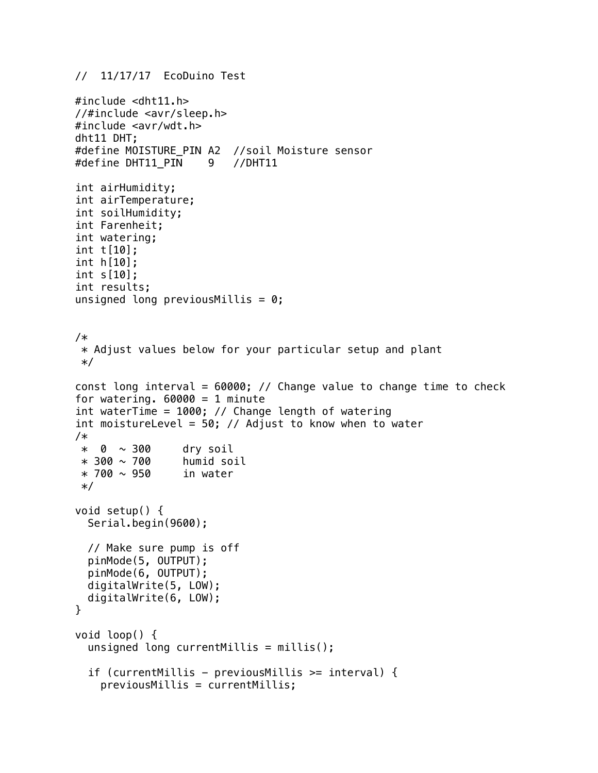```
// 11/17/17 EcoDuino Test
```

```
#include <dht11.h>
//#include <avr/sleep.h>
#include <avr/wdt.h>
dht11 DHT;
#define MOISTURE_PIN A2 //soil Moisture sensor
#define DHT11_PIN 9 //DHT11
int airHumidity;
int airTemperature;
int soilHumidity;
int Farenheit;
int watering;
int t[10];
int h[10];
int s[10];
int results;
unsigned long previous Millis = 0;
/*
  * Adjust values below for your particular setup and plant
  */
const long interval = 60000; // Change value to change time to check
for watering. 60000 = 1 minute
int waterTime = 1000; // Change length of watering
int moistureLevel = 50; // Adjust to know when to water
/*
  * 0 ~ 300 dry soil
 * 300 \sim 700 humid soil
 * 700 \sim 950 in water
  */
void setup() {
   Serial.begin(9600);
   // Make sure pump is off
   pinMode(5, OUTPUT);
   pinMode(6, OUTPUT);
   digitalWrite(5, LOW);
   digitalWrite(6, LOW);
}
void loop() {
   unsigned long currentMillis = millis();
   if (currentMillis - previousMillis >= interval) {
     previousMillis = currentMillis;
```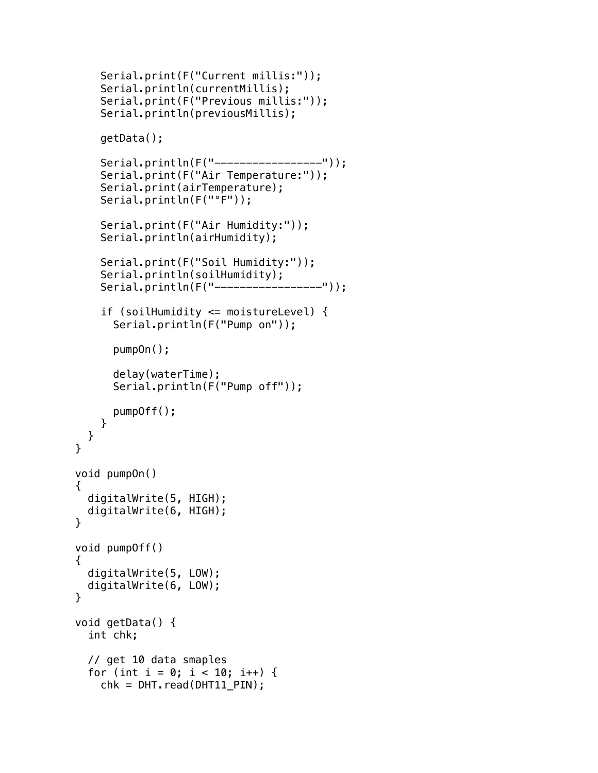```
 Serial.print(F("Current millis:"));
     Serial.println(currentMillis);
     Serial.print(F("Previous millis:"));
     Serial.println(previousMillis);
     getData();
    Serial.println(F("------------------"));
     Serial.print(F("Air Temperature:"));
     Serial.print(airTemperature);
     Serial.println(F("°F"));
     Serial.print(F("Air Humidity:"));
     Serial.println(airHumidity);
     Serial.print(F("Soil Humidity:"));
     Serial.println(soilHumidity);
    Serial.println(F("------------------"));
     if (soilHumidity <= moistureLevel) {
       Serial.println(F("Pump on"));
       pumpOn();
       delay(waterTime);
       Serial.println(F("Pump off"));
       pumpOff();
    }
   }
void pumpOn()
   digitalWrite(5, HIGH);
   digitalWrite(6, HIGH);
void pumpOff()
   digitalWrite(5, LOW);
   digitalWrite(6, LOW);
void getData() {
   int chk;
   // get 10 data smaples
  for (int i = 0; i < 10; i++) {
    chk = DHT \cdot read(DHT11_PIN);
```
}

{

}

{

}